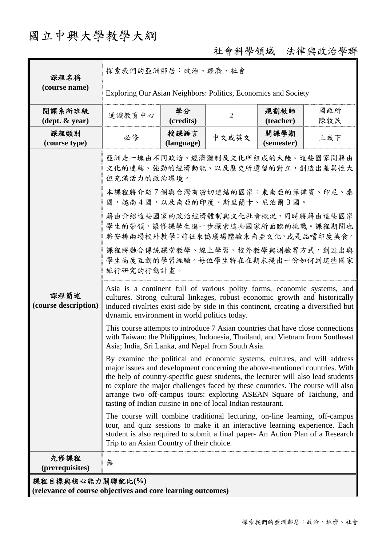# 國立中興大學教學大綱

# 社會科學領域-法律與政治學群

| 課程名稱<br>(course name)                                                           | 探索我們的亞洲鄰居︰政治、經濟、社會                                                                                                                                                                                                                                                                                                                                                                                                                                                       |                    |                |                    |            |  |  |
|---------------------------------------------------------------------------------|--------------------------------------------------------------------------------------------------------------------------------------------------------------------------------------------------------------------------------------------------------------------------------------------------------------------------------------------------------------------------------------------------------------------------------------------------------------------------|--------------------|----------------|--------------------|------------|--|--|
|                                                                                 | Exploring Our Asian Neighbors: Politics, Economics and Society                                                                                                                                                                                                                                                                                                                                                                                                           |                    |                |                    |            |  |  |
| 開課系所班級<br>$(\text{dept.} \& \text{ year})$                                      | 通識教育中心                                                                                                                                                                                                                                                                                                                                                                                                                                                                   | 學分<br>(credits)    | $\overline{2}$ | 規劃教師<br>(teacher)  | 國政所<br>陳牧民 |  |  |
| 課程類別<br>(course type)                                                           | 必修                                                                                                                                                                                                                                                                                                                                                                                                                                                                       | 授課語言<br>(language) | 中文或英文          | 開課學期<br>(semester) | 上或下        |  |  |
| 課程簡述<br>(course description)                                                    | 亞洲是一塊由不同政治、經濟體制及文化所組成的大陸。這些國家間藉由<br>文化的連結、強勁的經濟動能、以及歷史所遺留的對立,創造出差異性大<br>但充滿活力的政治環境。                                                                                                                                                                                                                                                                                                                                                                                      |                    |                |                    |            |  |  |
|                                                                                 | 本課程將介紹7個與台灣有密切連結的國家:東南亞的菲律賓、印尼、泰<br>國,越南4國,以及南亞的印度、斯里蘭卡、尼泊爾3國。                                                                                                                                                                                                                                                                                                                                                                                                           |                    |                |                    |            |  |  |
|                                                                                 | 藉由介紹這些國家的政治經濟體制與文化社會概況,同時將藉由這些國家<br>學生的帶領,讓修課學生進一步探索這些國家所面臨的挑戰。課程期間也<br>將安排兩場校外教學:前往東協廣場體驗東南亞文化,或是品嚐印度美食。                                                                                                                                                                                                                                                                                                                                                                |                    |                |                    |            |  |  |
|                                                                                 | 課程將融合傳統課堂教學、線上學習、校外教學與測驗等方式,創造出與<br>學生高度互動的學習經驗。每位學生將在在期末提出一份如何到這些國家<br>旅行研究的行動計畫。                                                                                                                                                                                                                                                                                                                                                                                       |                    |                |                    |            |  |  |
|                                                                                 | Asia is a continent full of various polity forms, economic systems, and<br>cultures. Strong cultural linkages, robust economic growth and historically<br>induced rivalries exist side by side in this continent, creating a diversified but<br>dynamic environment in world politics today.                                                                                                                                                                             |                    |                |                    |            |  |  |
|                                                                                 | This course attempts to introduce 7 Asian countries that have close connections<br>with Taiwan: the Philippines, Indonesia, Thailand, and Vietnam from Southeast<br>Asia; India, Sri Lanka, and Nepal from South Asia.                                                                                                                                                                                                                                                   |                    |                |                    |            |  |  |
|                                                                                 | By examine the political and economic systems, cultures, and will address<br>major issues and development concerning the above-mentioned countries. With<br>the help of country-specific guest students, the lecturer will also lead students<br>to explore the major challenges faced by these countries. The course will also<br>arrange two off-campus tours: exploring ASEAN Square of Taichung, and<br>tasting of Indian cuisine in one of local Indian restaurant. |                    |                |                    |            |  |  |
|                                                                                 | The course will combine traditional lecturing, on-line learning, off-campus<br>tour, and quiz sessions to make it an interactive learning experience. Each<br>student is also required to submit a final paper- An Action Plan of a Research<br>Trip to an Asian Country of their choice.                                                                                                                                                                                |                    |                |                    |            |  |  |
| 先修課程<br>(prerequisites)                                                         | 無                                                                                                                                                                                                                                                                                                                                                                                                                                                                        |                    |                |                    |            |  |  |
| 課程目標與核心能力關聯配比(%)<br>(relevance of course objectives and core learning outcomes) |                                                                                                                                                                                                                                                                                                                                                                                                                                                                          |                    |                |                    |            |  |  |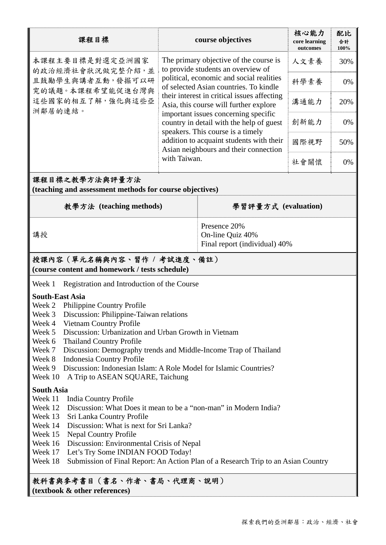| 課程目標                                                                                                                                                                                                                                                                                                                                                                                                                                                                                                                           | course objectives                                                                                                                                                                                                                                                                                                                                                                                                                                                         |  | 核心能力<br>core learning<br>outcomes | 配比<br>合計<br>100% |  |  |  |  |  |
|--------------------------------------------------------------------------------------------------------------------------------------------------------------------------------------------------------------------------------------------------------------------------------------------------------------------------------------------------------------------------------------------------------------------------------------------------------------------------------------------------------------------------------|---------------------------------------------------------------------------------------------------------------------------------------------------------------------------------------------------------------------------------------------------------------------------------------------------------------------------------------------------------------------------------------------------------------------------------------------------------------------------|--|-----------------------------------|------------------|--|--|--|--|--|
| 本課程主要目標是對選定亞洲國家<br>的政治經濟社會狀況做完整介紹,並                                                                                                                                                                                                                                                                                                                                                                                                                                                                                            | The primary objective of the course is<br>to provide students an overview of<br>political, economic and social realities<br>of selected Asian countries. To kindle<br>their interest in critical issues affecting<br>Asia, this course will further explore<br>important issues concerning specific<br>country in detail with the help of guest<br>speakers. This course is a timely<br>addition to acquaint students with their<br>Asian neighbours and their connection |  | 人文素養                              | 30%              |  |  |  |  |  |
| 且鼓勵學生與講者互動,發掘可以研<br>究的議題。本課程希望能促進台灣與                                                                                                                                                                                                                                                                                                                                                                                                                                                                                           |                                                                                                                                                                                                                                                                                                                                                                                                                                                                           |  | 科學素養                              | 0%               |  |  |  |  |  |
| 這些國家的相互了解,強化與這些亞                                                                                                                                                                                                                                                                                                                                                                                                                                                                                                               |                                                                                                                                                                                                                                                                                                                                                                                                                                                                           |  | 溝通能力                              | 20%              |  |  |  |  |  |
| 洲鄰居的連結。                                                                                                                                                                                                                                                                                                                                                                                                                                                                                                                        |                                                                                                                                                                                                                                                                                                                                                                                                                                                                           |  | 創新能力                              | 0%               |  |  |  |  |  |
|                                                                                                                                                                                                                                                                                                                                                                                                                                                                                                                                |                                                                                                                                                                                                                                                                                                                                                                                                                                                                           |  | 國際視野                              | 50%              |  |  |  |  |  |
|                                                                                                                                                                                                                                                                                                                                                                                                                                                                                                                                | with Taiwan.                                                                                                                                                                                                                                                                                                                                                                                                                                                              |  | 社會關懷                              | 0%               |  |  |  |  |  |
| 課程目標之教學方法與評量方法<br>(teaching and assessment methods for course objectives)                                                                                                                                                                                                                                                                                                                                                                                                                                                      |                                                                                                                                                                                                                                                                                                                                                                                                                                                                           |  |                                   |                  |  |  |  |  |  |
| 教學方法 (teaching methods)                                                                                                                                                                                                                                                                                                                                                                                                                                                                                                        | 學習評量方式 (evaluation)                                                                                                                                                                                                                                                                                                                                                                                                                                                       |  |                                   |                  |  |  |  |  |  |
| 講授                                                                                                                                                                                                                                                                                                                                                                                                                                                                                                                             | Presence 20%<br>On-line Quiz 40%<br>Final report (individual) 40%                                                                                                                                                                                                                                                                                                                                                                                                         |  |                                   |                  |  |  |  |  |  |
| 授課內容 (單元名稱與內容、習作 /考試進度、備註)<br>(course content and homework / tests schedule)                                                                                                                                                                                                                                                                                                                                                                                                                                                   |                                                                                                                                                                                                                                                                                                                                                                                                                                                                           |  |                                   |                  |  |  |  |  |  |
| Registration and Introduction of the Course<br>Week 1                                                                                                                                                                                                                                                                                                                                                                                                                                                                          |                                                                                                                                                                                                                                                                                                                                                                                                                                                                           |  |                                   |                  |  |  |  |  |  |
| <b>South-East Asia</b><br>Week 2 Philippine Country Profile<br>Discussion: Philippine-Taiwan relations<br>Week 3<br>Week 4<br>Vietnam Country Profile<br>Week 5<br>Discussion: Urbanization and Urban Growth in Vietnam<br>Week 6<br><b>Thailand Country Profile</b><br>Week 7<br>Discussion: Demography trends and Middle-Income Trap of Thailand<br>Week 8<br><b>Indonesia Country Profile</b><br>Discussion: Indonesian Islam: A Role Model for Islamic Countries?<br>Week 9<br>A Trip to ASEAN SQUARE, Taichung<br>Week 10 |                                                                                                                                                                                                                                                                                                                                                                                                                                                                           |  |                                   |                  |  |  |  |  |  |

#### **South Asia**

- Week 11 India Country Profile
- Week 12 Discussion: What Does it mean to be a "non-man" in Modern India?
- Week 13 Sri Lanka Country Profile
- Week 14 Discussion: What is next for Sri Lanka?
- Week 15 Nepal Country Profile
- Week 16 Discussion: Environmental Crisis of Nepal
- Week 17 Let's Try Some INDIAN FOOD Today!
- Week 18 Submission of Final Report: An Action Plan of a Research Trip to an Asian Country

## 教科書與參考書目(書名、作者、書局、代理商、說明)

**(textbook & other references)**